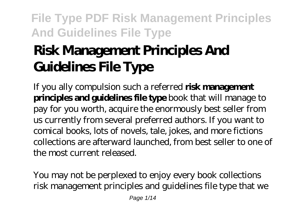# **Risk Management Principles And Guidelines File Type**

If you ally compulsion such a referred **risk management principles and guidelines file type** book that will manage to pay for you worth, acquire the enormously best seller from us currently from several preferred authors. If you want to comical books, lots of novels, tale, jokes, and more fictions collections are afterward launched, from best seller to one of the most current released.

You may not be perplexed to enjoy every book collections risk management principles and guidelines file type that we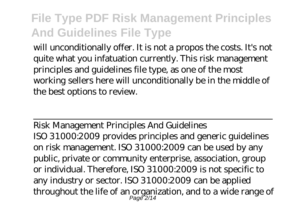will unconditionally offer. It is not a propos the costs. It's not quite what you infatuation currently. This risk management principles and guidelines file type, as one of the most working sellers here will unconditionally be in the middle of the best options to review.

Risk Management Principles And Guidelines ISO 31000:2009 provides principles and generic guidelines on risk management. ISO 31000:2009 can be used by any public, private or community enterprise, association, group or individual. Therefore, ISO 31000:2009 is not specific to any industry or sector. ISO 31000:2009 can be applied throughout the life of an organization, and to a wide range of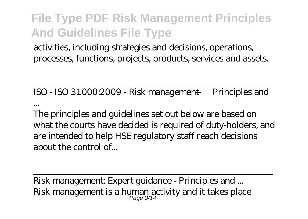activities, including strategies and decisions, operations, processes, functions, projects, products, services and assets.

ISO - ISO 31000:2009 - Risk management — Principles and

...

The principles and guidelines set out below are based on what the courts have decided is required of duty-holders, and are intended to help HSE regulatory staff reach decisions about the control of...

Risk management: Expert guidance - Principles and ... Risk management is a human activity and it takes place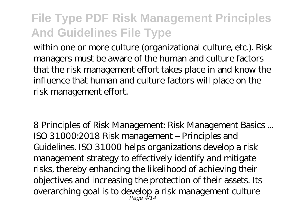within one or more culture (organizational culture, etc.). Risk managers must be aware of the human and culture factors that the risk management effort takes place in and know the influence that human and culture factors will place on the risk management effort.

8 Principles of Risk Management: Risk Management Basics ... ISO 31000:2018 Risk management – Principles and Guidelines. ISO 31000 helps organizations develop a risk management strategy to effectively identify and mitigate risks, thereby enhancing the likelihood of achieving their objectives and increasing the protection of their assets. Its overarching goal is to develop a risk management culture Page 4/14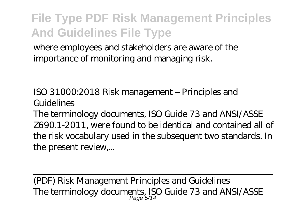where employees and stakeholders are aware of the importance of monitoring and managing risk.

ISO 31000:2018 Risk management – Principles and Guidelines

The terminology documents, ISO Guide 73 and ANSI/ASSE Z690.1-2011, were found to be identical and contained all of the risk vocabulary used in the subsequent two standards. In the present review,...

(PDF) Risk Management Principles and Guidelines The terminology documents, ISO Guide 73 and ANSI/ASSE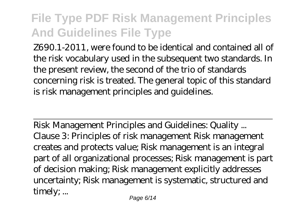Z690.1-2011, were found to be identical and contained all of the risk vocabulary used in the subsequent two standards. In the present review, the second of the trio of standards concerning risk is treated. The general topic of this standard is risk management principles and guidelines.

Risk Management Principles and Guidelines: Quality ... Clause 3: Principles of risk management Risk management creates and protects value; Risk management is an integral part of all organizational processes; Risk management is part of decision making; Risk management explicitly addresses uncertainty; Risk management is systematic, structured and timely; ...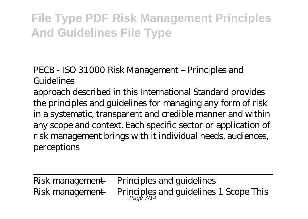PECB - ISO 31000 Risk Management – Principles and Guidelines

approach described in this International Standard provides the principles and guidelines for managing any form of risk in a systematic, transparent and credible manner and within any scope and context. Each specific sector or application of risk management brings with it individual needs, audiences, perceptions

Risk management — Principles and guidelines Risk management — Principles and guidelines 1 Scope This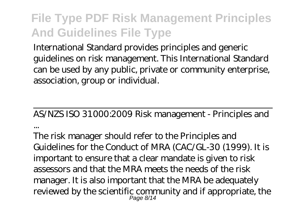International Standard provides principles and generic guidelines on risk management. This International Standard can be used by any public, private or community enterprise, association, group or individual.

AS/NZS ISO 31000:2009 Risk management - Principles and ...

The risk manager should refer to the Principles and Guidelines for the Conduct of MRA (CAC/GL-30 (1999). It is important to ensure that a clear mandate is given to risk assessors and that the MRA meets the needs of the risk manager. It is also important that the MRA be adequately reviewed by the scientific community and if appropriate, the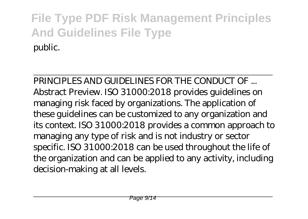PRINCIPLES AND GUIDELINES FOR THE CONDUCT OF Abstract Preview. ISO 31000:2018 provides guidelines on managing risk faced by organizations. The application of these guidelines can be customized to any organization and its context. ISO 31000:2018 provides a common approach to managing any type of risk and is not industry or sector specific. ISO 31000:2018 can be used throughout the life of the organization and can be applied to any activity, including decision-making at all levels.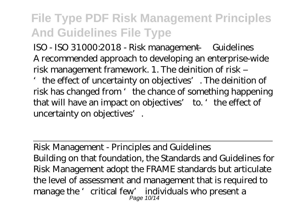ISO - ISO 31000:2018 - Risk management — Guidelines A recommended approach to developing an enterprise-wide risk management framework. 1. The deinition of risk –

'the effect of uncertainty on objectives'. The deinition of risk has changed from 'the chance of something happening that will have an impact on objectives' to. 'the effect of uncertainty on objectives'.

Risk Management - Principles and Guidelines Building on that foundation, the Standards and Guidelines for Risk Management adopt the FRAME standards but articulate the level of assessment and management that is required to manage the 'critical few' individuals who present a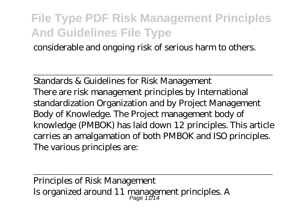considerable and ongoing risk of serious harm to others.

Standards & Guidelines for Risk Management There are risk management principles by International standardization Organization and by Project Management Body of Knowledge. The Project management body of knowledge (PMBOK) has laid down 12 principles. This article carries an amalgamation of both PMBOK and ISO principles. The various principles are:

Principles of Risk Management Is organized around  $11$  management principles. A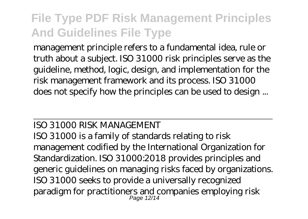management principle refers to a fundamental idea, rule or truth about a subject. ISO 31000 risk principles serve as the guideline, method, logic, design, and implementation for the risk management framework and its process. ISO 31000 does not specify how the principles can be used to design ...

#### ISO 31000 RISK MANAGEMENT

ISO 31000 is a family of standards relating to risk management codified by the International Organization for Standardization. ISO 31000:2018 provides principles and generic guidelines on managing risks faced by organizations. ISO 31000 seeks to provide a universally recognized paradigm for practitioners and companies employing risk Page 12/14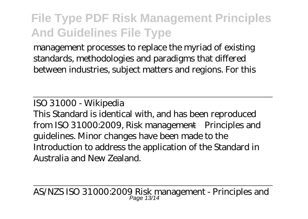management processes to replace the myriad of existing standards, methodologies and paradigms that differed between industries, subject matters and regions. For this

ISO 31000 - Wikipedia

This Standard is identical with, and has been reproduced from ISO 31000:2009, Risk management—Principles and guidelines. Minor changes have been made to the Introduction to address the application of the Standard in Australia and New Zealand.

AS/NZS ISO 31000:2009 Risk management - Principles and Page 13/14